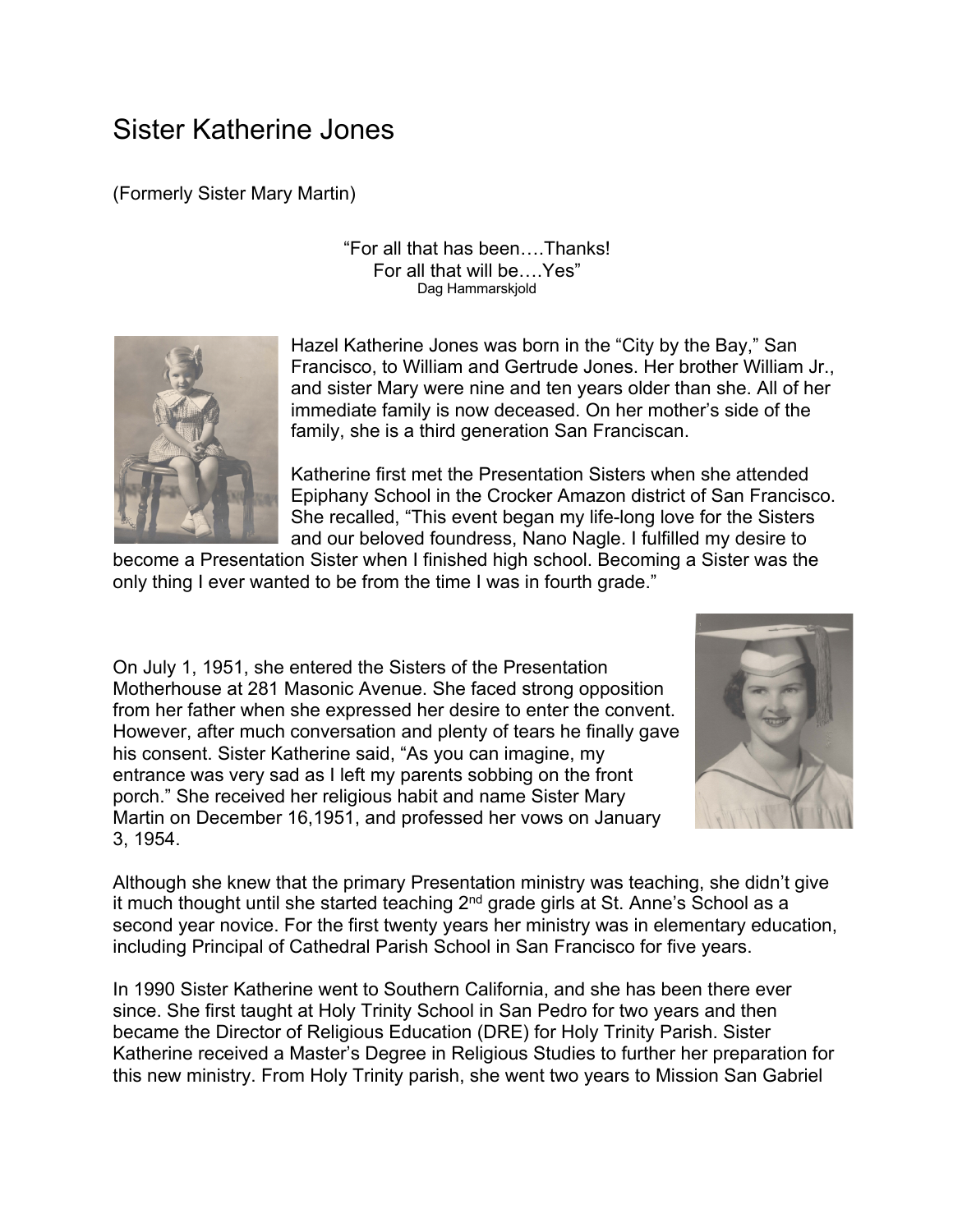## Sister Katherine Jones

(Formerly Sister Mary Martin)

"For all that has been….Thanks! For all that will be….Yes" Dag Hammarskjold



Hazel Katherine Jones was born in the "City by the Bay," San Francisco, to William and Gertrude Jones. Her brother William Jr., and sister Mary were nine and ten years older than she. All of her immediate family is now deceased. On her mother's side of the family, she is a third generation San Franciscan.

Katherine first met the Presentation Sisters when she attended Epiphany School in the Crocker Amazon district of San Francisco. She recalled, "This event began my life-long love for the Sisters and our beloved foundress, Nano Nagle. I fulfilled my desire to

become a Presentation Sister when I finished high school. Becoming a Sister was the only thing I ever wanted to be from the time I was in fourth grade."

On July 1, 1951, she entered the Sisters of the Presentation Motherhouse at 281 Masonic Avenue. She faced strong opposition from her father when she expressed her desire to enter the convent. However, after much conversation and plenty of tears he finally gave his consent. Sister Katherine said, "As you can imagine, my entrance was very sad as I left my parents sobbing on the front porch." She received her religious habit and name Sister Mary Martin on December 16,1951, and professed her vows on January 3, 1954.



Although she knew that the primary Presentation ministry was teaching, she didn't give it much thought until she started teaching 2<sup>nd</sup> grade girls at St. Anne's School as a second year novice. For the first twenty years her ministry was in elementary education, including Principal of Cathedral Parish School in San Francisco for five years.

In 1990 Sister Katherine went to Southern California, and she has been there ever since. She first taught at Holy Trinity School in San Pedro for two years and then became the Director of Religious Education (DRE) for Holy Trinity Parish. Sister Katherine received a Master's Degree in Religious Studies to further her preparation for this new ministry. From Holy Trinity parish, she went two years to Mission San Gabriel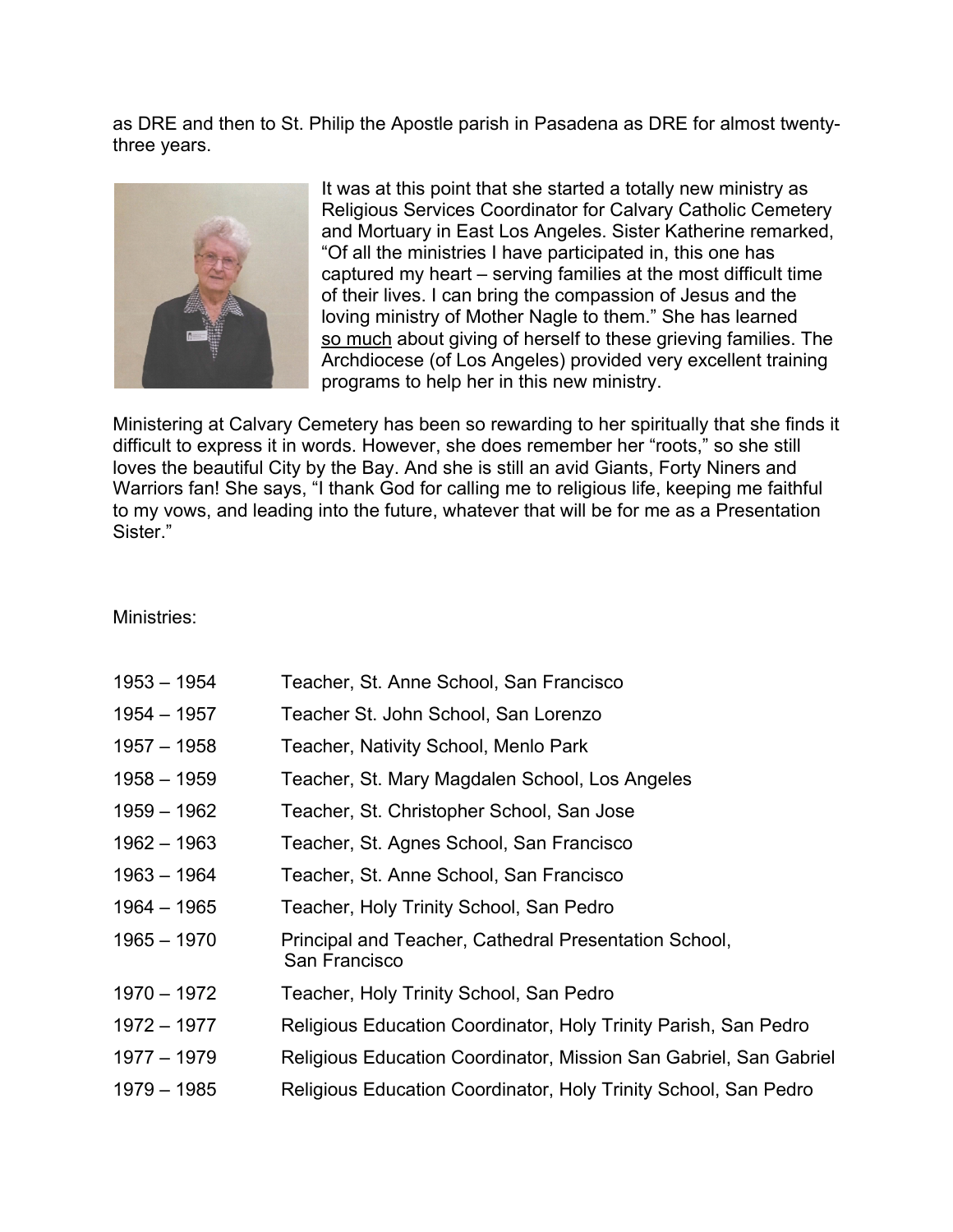as DRE and then to St. Philip the Apostle parish in Pasadena as DRE for almost twentythree years.



It was at this point that she started a totally new ministry as Religious Services Coordinator for Calvary Catholic Cemetery and Mortuary in East Los Angeles. Sister Katherine remarked, "Of all the ministries I have participated in, this one has captured my heart – serving families at the most difficult time of their lives. I can bring the compassion of Jesus and the loving ministry of Mother Nagle to them." She has learned so much about giving of herself to these grieving families. The Archdiocese (of Los Angeles) provided very excellent training programs to help her in this new ministry.

Ministering at Calvary Cemetery has been so rewarding to her spiritually that she finds it difficult to express it in words. However, she does remember her "roots," so she still loves the beautiful City by the Bay. And she is still an avid Giants, Forty Niners and Warriors fan! She says, "I thank God for calling me to religious life, keeping me faithful to my vows, and leading into the future, whatever that will be for me as a Presentation Sister."

## Ministries:

| $1953 - 1954$ | Teacher, St. Anne School, San Francisco                                |
|---------------|------------------------------------------------------------------------|
| $1954 - 1957$ | Teacher St. John School, San Lorenzo                                   |
| 1957 – 1958   | Teacher, Nativity School, Menlo Park                                   |
| $1958 - 1959$ | Teacher, St. Mary Magdalen School, Los Angeles                         |
| 1959 - 1962   | Teacher, St. Christopher School, San Jose                              |
| $1962 - 1963$ | Teacher, St. Agnes School, San Francisco                               |
| 1963 - 1964   | Teacher, St. Anne School, San Francisco                                |
| 1964 – 1965   | Teacher, Holy Trinity School, San Pedro                                |
| 1965 - 1970   | Principal and Teacher, Cathedral Presentation School,<br>San Francisco |
| 1970 - 1972   | Teacher, Holy Trinity School, San Pedro                                |
| $1972 - 1977$ | Religious Education Coordinator, Holy Trinity Parish, San Pedro        |
| 1977 - 1979   | Religious Education Coordinator, Mission San Gabriel, San Gabriel      |
| $1979 - 1985$ | Religious Education Coordinator, Holy Trinity School, San Pedro        |